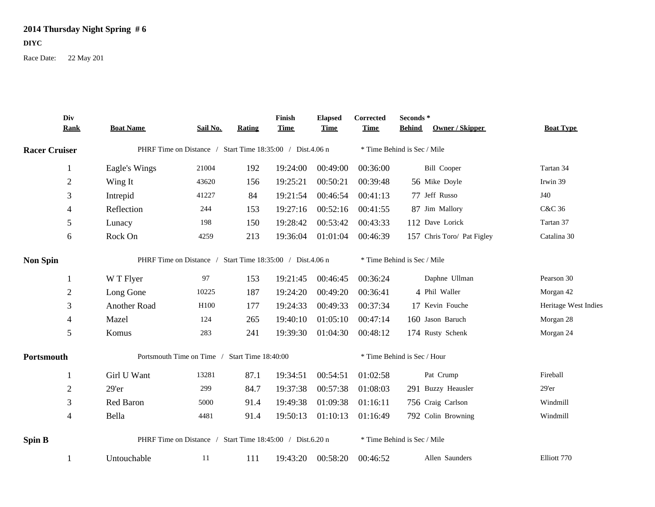## **2014 Thursday Night Spring # 6**

## **DIYC**

Race Date: 22 May 201

|                      | Div<br><b>Rank</b> | <b>Boat Name</b>                                          | Sail No. | <b>Rating</b> | Finish<br><b>Time</b> | <b>Elapsed</b><br><b>Time</b> | Corrected<br><b>Time</b>    | Seconds*<br><b>Behind</b> | <b>Owner / Skipper</b>     | <b>Boat Type</b>     |
|----------------------|--------------------|-----------------------------------------------------------|----------|---------------|-----------------------|-------------------------------|-----------------------------|---------------------------|----------------------------|----------------------|
| <b>Racer Cruiser</b> |                    | PHRF Time on Distance / Start Time 18:35:00 / Dist.4.06 n |          |               |                       |                               | * Time Behind is Sec / Mile |                           |                            |                      |
|                      |                    |                                                           |          |               |                       |                               |                             |                           |                            |                      |
|                      | 1                  | Eagle's Wings                                             | 21004    | 192           | 19:24:00              | 00:49:00                      | 00:36:00                    |                           | <b>Bill Cooper</b>         | Tartan 34            |
|                      | $\sqrt{2}$         | Wing It                                                   | 43620    | 156           | 19:25:21              | 00:50:21                      | 00:39:48                    |                           | 56 Mike Doyle              | Irwin 39             |
|                      | $\mathfrak{Z}$     | Intrepid                                                  | 41227    | 84            | 19:21:54              | 00:46:54                      | 00:41:13                    |                           | 77 Jeff Russo              | J40                  |
|                      | 4                  | Reflection                                                | 244      | 153           | 19:27:16              | 00:52:16                      | 00:41:55                    |                           | 87 Jim Mallory             | C&C 36               |
|                      | 5                  | Lunacy                                                    | 198      | 150           | 19:28:42              | 00:53:42                      | 00:43:33                    |                           | 112 Dave Lorick            | Tartan 37            |
|                      | 6                  | Rock On                                                   | 4259     | 213           | 19:36:04              | 01:01:04                      | 00:46:39                    |                           | 157 Chris Toro/ Pat Figley | Catalina 30          |
| <b>Non Spin</b>      |                    | PHRF Time on Distance / Start Time 18:35:00 / Dist.4.06 n |          |               |                       |                               | * Time Behind is Sec / Mile |                           |                            |                      |
|                      |                    | W T Flyer                                                 | 97       | 153           | 19:21:45              | 00:46:45                      | 00:36:24                    |                           | Daphne Ullman              | Pearson 30           |
|                      | $\overline{2}$     | Long Gone                                                 | 10225    | 187           | 19:24:20              | 00:49:20                      | 00:36:41                    |                           | 4 Phil Waller              | Morgan 42            |
|                      | 3                  | Another Road                                              | H100     | 177           | 19:24:33              | 00:49:33                      | 00:37:34                    |                           | 17 Kevin Fouche            | Heritage West Indies |
|                      | $\overline{4}$     | Mazel                                                     | 124      | 265           | 19:40:10              | 01:05:10                      | 00:47:14                    |                           | 160 Jason Baruch           | Morgan 28            |
|                      | 5                  | Komus                                                     | 283      | 241           | 19:39:30              | 01:04:30                      | 00:48:12                    |                           | 174 Rusty Schenk           | Morgan 24            |
| Portsmouth           |                    | Portsmouth Time on Time / Start Time 18:40:00             |          |               |                       |                               | * Time Behind is Sec / Hour |                           |                            |                      |
|                      | -1                 | Girl U Want                                               | 13281    | 87.1          | 19:34:51              | 00:54:51                      | 01:02:58                    |                           | Pat Crump                  | Fireball             |
|                      | $\overline{2}$     | 29'er                                                     | 299      | 84.7          | 19:37:38              | 00:57:38                      | 01:08:03                    |                           | 291 Buzzy Heausler         | $29'$ er             |
|                      | 3                  | Red Baron                                                 | 5000     | 91.4          | 19:49:38              | 01:09:38                      | 01:16:11                    |                           | 756 Craig Carlson          | Windmill             |
|                      | $\overline{4}$     | Bella                                                     | 4481     | 91.4          | 19:50:13              | 01:10:13                      | 01:16:49                    |                           | 792 Colin Browning         | Windmill             |
| <b>Spin B</b>        |                    | PHRF Time on Distance / Start Time 18:45:00 / Dist.6.20 n |          |               |                       |                               | * Time Behind is Sec / Mile |                           |                            |                      |
|                      |                    | Untouchable                                               | 11       | 111           | 19:43:20              | 00:58:20                      | 00:46:52                    |                           | Allen Saunders             | Elliott 770          |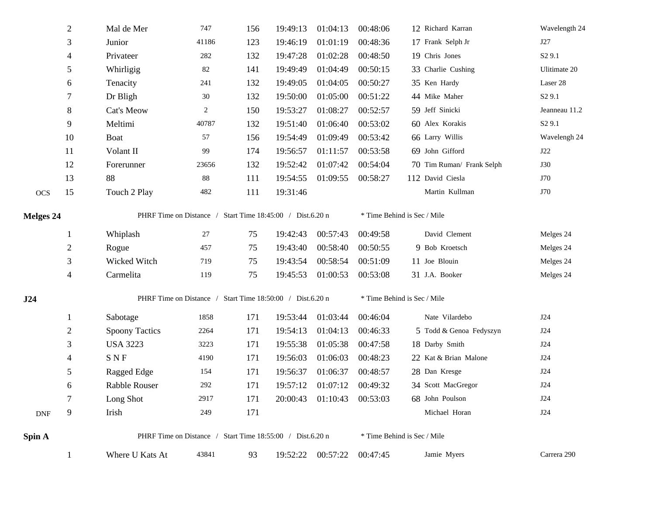|                  | $\overline{2}$ | Mal de Mer            | 747                                                       | 156 | 19:49:13 | 01:04:13                   | 00:48:06 | 12 Richard Karran                            | Wavelength 24      |
|------------------|----------------|-----------------------|-----------------------------------------------------------|-----|----------|----------------------------|----------|----------------------------------------------|--------------------|
|                  | 3              | Junior                | 41186                                                     | 123 | 19:46:19 | 01:01:19                   | 00:48:36 | 17 Frank Selph Jr                            | J27                |
|                  | 4              | Privateer             | 282                                                       | 132 | 19:47:28 | 01:02:28                   | 00:48:50 | 19 Chris Jones                               | S <sub>2</sub> 9.1 |
|                  | 5              | Whirligig             | 82                                                        | 141 | 19:49:49 | 01:04:49                   | 00:50:15 | 33 Charlie Cushing                           | Ulitimate 20       |
|                  | 6              | Tenacity              | 241                                                       | 132 | 19:49:05 | 01:04:05                   | 00:50:27 | 35 Ken Hardy                                 | Laser 28           |
|                  | 7              | Dr Bligh              | 30                                                        | 132 | 19:50:00 | 01:05:00                   | 00:51:22 | 44 Mike Maher                                | S <sub>2</sub> 9.1 |
|                  | $\,8\,$        | Cat's Meow            | 2                                                         | 150 | 19:53:27 | 01:08:27                   | 00:52:57 | 59 Jeff Sinicki                              | Jeanneau 11.2      |
|                  | 9              | Meltimi               | 40787                                                     | 132 | 19:51:40 | 01:06:40                   | 00:53:02 | 60 Alex Korakis                              | S <sub>2</sub> 9.1 |
|                  | 10             | Boat                  | 57                                                        | 156 | 19:54:49 | 01:09:49                   | 00:53:42 | 66 Larry Willis                              | Wavelengh 24       |
|                  | 11             | Volant II             | 99                                                        | 174 | 19:56:57 | 01:11:57                   | 00:53:58 | 69 John Gifford                              | J22                |
|                  | 12             | Forerunner            | 23656                                                     | 132 | 19:52:42 | 01:07:42                   | 00:54:04 | 70 Tim Ruman/ Frank Selph                    | <b>J30</b>         |
|                  | 13             | 88                    | 88                                                        | 111 | 19:54:55 | 01:09:55                   | 00:58:27 | 112 David Ciesla                             | J70                |
| <b>OCS</b>       | 15             | Touch 2 Play          | 482                                                       | 111 | 19:31:46 |                            |          | Martin Kullman                               | J70                |
| <b>Melges 24</b> |                |                       | PHRF Time on Distance / Start Time 18:45:00 / Dist.6.20 n |     |          |                            |          | $\hspace{0.1mm}^*$ Time Behind is Sec / Mile |                    |
|                  | 1              | Whiplash              | 27                                                        | 75  | 19:42:43 | 00:57:43                   | 00:49:58 | David Clement                                | Melges 24          |
|                  | $\overline{c}$ | Rogue                 | 457                                                       | 75  | 19:43:40 | 00:58:40                   | 00:50:55 | 9 Bob Kroetsch                               | Melges 24          |
|                  | 3              | Wicked Witch          | 719                                                       | 75  | 19:43:54 | 00:58:54                   | 00:51:09 | 11 Joe Blouin                                | Melges 24          |
|                  | $\overline{4}$ | Carmelita             | 119                                                       | 75  | 19:45:53 | 01:00:53                   | 00:53:08 | 31 J.A. Booker                               | Melges 24          |
| J24              |                |                       | PHRF Time on Distance / Start Time 18:50:00 / Dist.6.20 n |     |          |                            |          | * Time Behind is Sec / Mile                  |                    |
|                  | 1              | Sabotage              | 1858                                                      | 171 | 19:53:44 | 01:03:44                   | 00:46:04 | Nate Vilardebo                               | J24                |
|                  | $\overline{c}$ | <b>Spoony Tactics</b> | 2264                                                      | 171 | 19:54:13 | 01:04:13                   | 00:46:33 | 5 Todd & Genoa Fedyszyn                      | <b>J24</b>         |
|                  | $\mathfrak{Z}$ | <b>USA 3223</b>       | 3223                                                      | 171 | 19:55:38 | 01:05:38                   | 00:47:58 | 18 Darby Smith                               | <b>J24</b>         |
|                  | 4              | <b>SNF</b>            | 4190                                                      | 171 | 19:56:03 | 01:06:03                   | 00:48:23 | 22 Kat & Brian Malone                        | <b>J24</b>         |
|                  | 5              | Ragged Edge           | 154                                                       | 171 | 19:56:37 | 01:06:37                   | 00:48:57 | 28 Dan Kresge                                | J24                |
|                  | 6              | Rabble Rouser         | 292                                                       | 171 | 19:57:12 | 01:07:12                   | 00:49:32 | 34 Scott MacGregor                           | J24                |
|                  | $\tau$         | Long Shot             | 2917                                                      | 171 |          | 20:00:43 01:10:43 00:53:03 |          | 68 John Poulson                              | J24                |
| <b>DNF</b>       | 9              | Irish                 | 249                                                       | 171 |          |                            |          | Michael Horan                                | $\rm J24$          |
| Spin A           |                |                       | PHRF Time on Distance / Start Time 18:55:00 / Dist.6.20 n |     |          |                            |          | * Time Behind is Sec / Mile                  |                    |
|                  |                | Where U Kats At       | 43841                                                     | 93  | 19:52:22 | 00:57:22                   | 00:47:45 | Jamie Myers                                  | Carrera 290        |